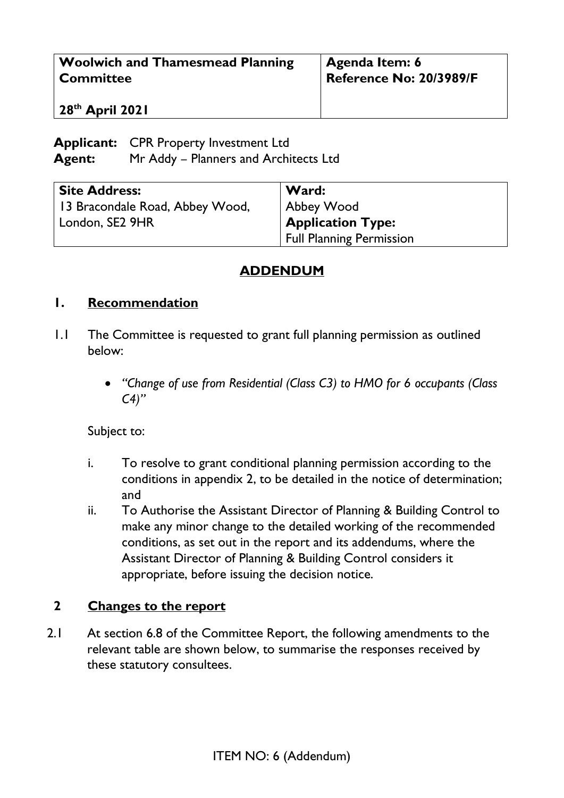| <b>Woolwich and Thamesmead Planning</b> | <b>Agenda Item: 6</b>   |
|-----------------------------------------|-------------------------|
| <b>Committee</b>                        | Reference No: 20/3989/F |
| 28 <sup>th</sup> April 2021             |                         |

## **Applicant:** CPR Property Investment Ltd **Agent:** Mr Addy – Planners and Architects Ltd

| <b>Site Address:</b>            | Ward:                           |
|---------------------------------|---------------------------------|
| 13 Bracondale Road, Abbey Wood, | Abbey Wood                      |
| London, SE2 9HR                 | <b>Application Type:</b>        |
|                                 | <b>Full Planning Permission</b> |

## **ADDENDUM**

## **1. Recommendation**

- 1.1 The Committee is requested to grant full planning permission as outlined below:
	- *"Change of use from Residential (Class C3) to HMO for 6 occupants (Class C4)"*

Subject to:

- i. To resolve to grant conditional planning permission according to the conditions in appendix 2, to be detailed in the notice of determination; and
- ii. To Authorise the Assistant Director of Planning & Building Control to make any minor change to the detailed working of the recommended conditions, as set out in the report and its addendums, where the Assistant Director of Planning & Building Control considers it appropriate, before issuing the decision notice.

## **2 Changes to the report**

2.1 At section 6.8 of the Committee Report, the following amendments to the relevant table are shown below, to summarise the responses received by these statutory consultees.